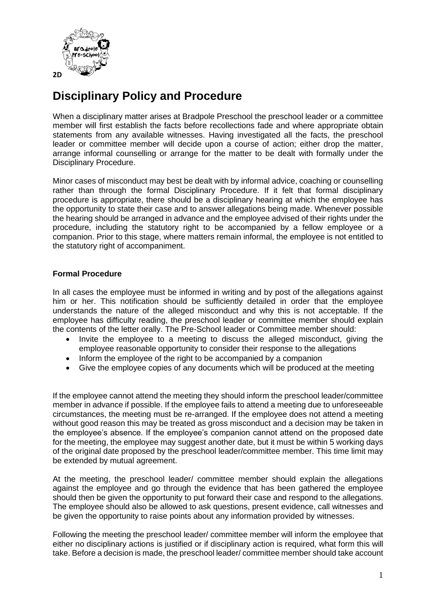

# **Disciplinary Policy and Procedure**

When a disciplinary matter arises at Bradpole Preschool the preschool leader or a committee member will first establish the facts before recollections fade and where appropriate obtain statements from any available witnesses. Having investigated all the facts, the preschool leader or committee member will decide upon a course of action; either drop the matter, arrange informal counselling or arrange for the matter to be dealt with formally under the Disciplinary Procedure.

Minor cases of misconduct may best be dealt with by informal advice, coaching or counselling rather than through the formal Disciplinary Procedure. If it felt that formal disciplinary procedure is appropriate, there should be a disciplinary hearing at which the employee has the opportunity to state their case and to answer allegations being made. Whenever possible the hearing should be arranged in advance and the employee advised of their rights under the procedure, including the statutory right to be accompanied by a fellow employee or a companion. Prior to this stage, where matters remain informal, the employee is not entitled to the statutory right of accompaniment.

## **Formal Procedure**

In all cases the employee must be informed in writing and by post of the allegations against him or her. This notification should be sufficiently detailed in order that the employee understands the nature of the alleged misconduct and why this is not acceptable. If the employee has difficulty reading, the preschool leader or committee member should explain the contents of the letter orally. The Pre-School leader or Committee member should:

- Invite the employee to a meeting to discuss the alleged misconduct, giving the employee reasonable opportunity to consider their response to the allegations
- Inform the employee of the right to be accompanied by a companion
- Give the employee copies of any documents which will be produced at the meeting

If the employee cannot attend the meeting they should inform the preschool leader/committee member in advance if possible. If the employee fails to attend a meeting due to unforeseeable circumstances, the meeting must be re-arranged. If the employee does not attend a meeting without good reason this may be treated as gross misconduct and a decision may be taken in the employee's absence. If the employee's companion cannot attend on the proposed date for the meeting, the employee may suggest another date, but it must be within 5 working days of the original date proposed by the preschool leader/committee member. This time limit may be extended by mutual agreement.

At the meeting, the preschool leader/ committee member should explain the allegations against the employee and go through the evidence that has been gathered the employee should then be given the opportunity to put forward their case and respond to the allegations. The employee should also be allowed to ask questions, present evidence, call witnesses and be given the opportunity to raise points about any information provided by witnesses.

Following the meeting the preschool leader/ committee member will inform the employee that either no disciplinary actions is justified or if disciplinary action is required, what form this will take. Before a decision is made, the preschool leader/ committee member should take account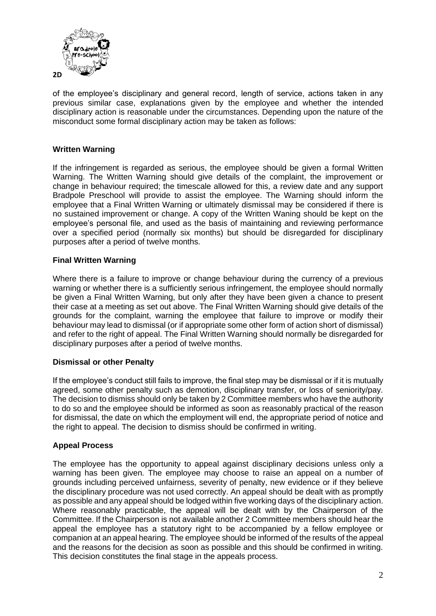

of the employee's disciplinary and general record, length of service, actions taken in any previous similar case, explanations given by the employee and whether the intended disciplinary action is reasonable under the circumstances. Depending upon the nature of the misconduct some formal disciplinary action may be taken as follows:

# **Written Warning**

If the infringement is regarded as serious, the employee should be given a formal Written Warning. The Written Warning should give details of the complaint, the improvement or change in behaviour required; the timescale allowed for this, a review date and any support Bradpole Preschool will provide to assist the employee. The Warning should inform the employee that a Final Written Warning or ultimately dismissal may be considered if there is no sustained improvement or change. A copy of the Written Waning should be kept on the employee's personal file, and used as the basis of maintaining and reviewing performance over a specified period (normally six months) but should be disregarded for disciplinary purposes after a period of twelve months.

#### **Final Written Warning**

Where there is a failure to improve or change behaviour during the currency of a previous warning or whether there is a sufficiently serious infringement, the employee should normally be given a Final Written Warning, but only after they have been given a chance to present their case at a meeting as set out above. The Final Written Warning should give details of the grounds for the complaint, warning the employee that failure to improve or modify their behaviour may lead to dismissal (or if appropriate some other form of action short of dismissal) and refer to the right of appeal. The Final Written Warning should normally be disregarded for disciplinary purposes after a period of twelve months.

#### **Dismissal or other Penalty**

If the employee's conduct still fails to improve, the final step may be dismissal or if it is mutually agreed, some other penalty such as demotion, disciplinary transfer, or loss of seniority/pay. The decision to dismiss should only be taken by 2 Committee members who have the authority to do so and the employee should be informed as soon as reasonably practical of the reason for dismissal, the date on which the employment will end, the appropriate period of notice and the right to appeal. The decision to dismiss should be confirmed in writing.

#### **Appeal Process**

The employee has the opportunity to appeal against disciplinary decisions unless only a warning has been given. The employee may choose to raise an appeal on a number of grounds including perceived unfairness, severity of penalty, new evidence or if they believe the disciplinary procedure was not used correctly. An appeal should be dealt with as promptly as possible and any appeal should be lodged within five working days of the disciplinary action. Where reasonably practicable, the appeal will be dealt with by the Chairperson of the Committee. If the Chairperson is not available another 2 Committee members should hear the appeal the employee has a statutory right to be accompanied by a fellow employee or companion at an appeal hearing. The employee should be informed of the results of the appeal and the reasons for the decision as soon as possible and this should be confirmed in writing. This decision constitutes the final stage in the appeals process.